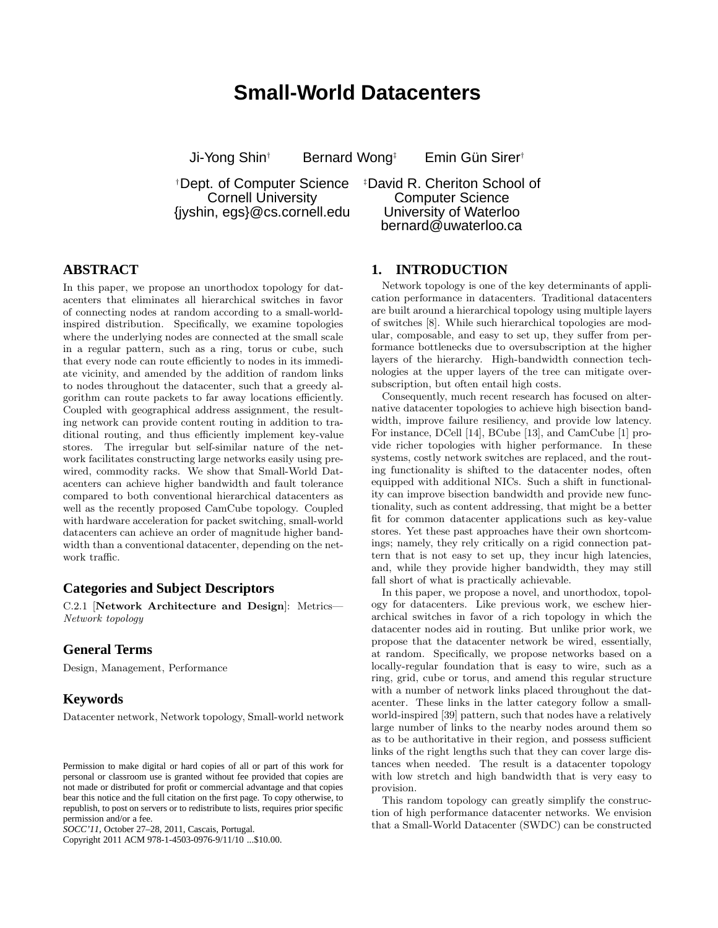# **Small-World Datacenters**

Ji-Yong Shin† Bernard Wong‡ Emin Gün Sirer†

†Dept. of Computer Science ‡David R. Cheriton School of Cornell University Computer Science  ${jyshin, egs} @c s.cornell.edu$ 

bernard@uwaterloo.ca

## **ABSTRACT**

In this paper, we propose an unorthodox topology for datacenters that eliminates all hierarchical switches in favor of connecting nodes at random according to a small-worldinspired distribution. Specifically, we examine topologies where the underlying nodes are connected at the small scale in a regular pattern, such as a ring, torus or cube, such that every node can route efficiently to nodes in its immediate vicinity, and amended by the addition of random links to nodes throughout the datacenter, such that a greedy algorithm can route packets to far away locations efficiently. Coupled with geographical address assignment, the resulting network can provide content routing in addition to traditional routing, and thus efficiently implement key-value stores. The irregular but self-similar nature of the network facilitates constructing large networks easily using prewired, commodity racks. We show that Small-World Datacenters can achieve higher bandwidth and fault tolerance compared to both conventional hierarchical datacenters as well as the recently proposed CamCube topology. Coupled with hardware acceleration for packet switching, small-world datacenters can achieve an order of magnitude higher bandwidth than a conventional datacenter, depending on the network traffic.

## **Categories and Subject Descriptors**

C.2.1 [Network Architecture and Design]: Metrics— Network topology

## **General Terms**

Design, Management, Performance

## **Keywords**

Datacenter network, Network topology, Small-world network

Copyright 2011 ACM 978-1-4503-0976-9/11/10 ...\$10.00.

## **1. INTRODUCTION**

Network topology is one of the key determinants of application performance in datacenters. Traditional datacenters are built around a hierarchical topology using multiple layers of switches [8]. While such hierarchical topologies are modular, composable, and easy to set up, they suffer from performance bottlenecks due to oversubscription at the higher layers of the hierarchy. High-bandwidth connection technologies at the upper layers of the tree can mitigate oversubscription, but often entail high costs.

Consequently, much recent research has focused on alternative datacenter topologies to achieve high bisection bandwidth, improve failure resiliency, and provide low latency. For instance, DCell [14], BCube [13], and CamCube [1] provide richer topologies with higher performance. In these systems, costly network switches are replaced, and the routing functionality is shifted to the datacenter nodes, often equipped with additional NICs. Such a shift in functionality can improve bisection bandwidth and provide new functionality, such as content addressing, that might be a better fit for common datacenter applications such as key-value stores. Yet these past approaches have their own shortcomings; namely, they rely critically on a rigid connection pattern that is not easy to set up, they incur high latencies, and, while they provide higher bandwidth, they may still fall short of what is practically achievable.

In this paper, we propose a novel, and unorthodox, topology for datacenters. Like previous work, we eschew hierarchical switches in favor of a rich topology in which the datacenter nodes aid in routing. But unlike prior work, we propose that the datacenter network be wired, essentially, at random. Specifically, we propose networks based on a locally-regular foundation that is easy to wire, such as a ring, grid, cube or torus, and amend this regular structure with a number of network links placed throughout the datacenter. These links in the latter category follow a smallworld-inspired [39] pattern, such that nodes have a relatively large number of links to the nearby nodes around them so as to be authoritative in their region, and possess sufficient links of the right lengths such that they can cover large distances when needed. The result is a datacenter topology with low stretch and high bandwidth that is very easy to provision.

This random topology can greatly simplify the construction of high performance datacenter networks. We envision that a Small-World Datacenter (SWDC) can be constructed

Permission to make digital or hard copies of all or part of this work for personal or classroom use is granted without fee provided that copies are not made or distributed for profit or commercial advantage and that copies bear this notice and the full citation on the first page. To copy otherwise, to republish, to post on servers or to redistribute to lists, requires prior specific permission and/or a fee.

*SOCC'11,* October 27–28, 2011, Cascais, Portugal.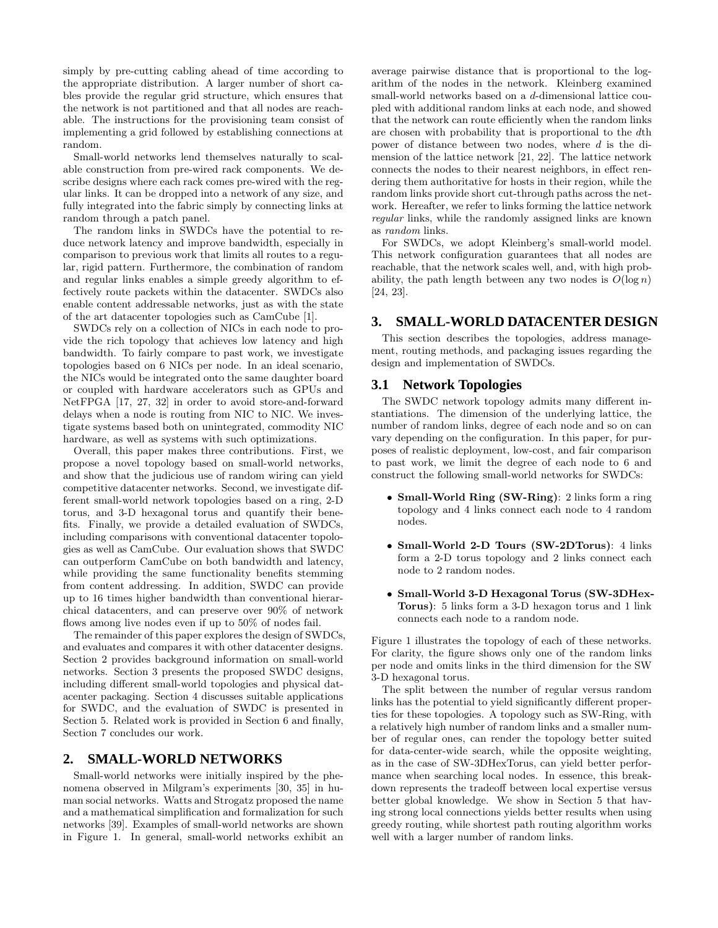simply by pre-cutting cabling ahead of time according to the appropriate distribution. A larger number of short cables provide the regular grid structure, which ensures that the network is not partitioned and that all nodes are reachable. The instructions for the provisioning team consist of implementing a grid followed by establishing connections at random.

Small-world networks lend themselves naturally to scalable construction from pre-wired rack components. We describe designs where each rack comes pre-wired with the regular links. It can be dropped into a network of any size, and fully integrated into the fabric simply by connecting links at random through a patch panel.

The random links in SWDCs have the potential to reduce network latency and improve bandwidth, especially in comparison to previous work that limits all routes to a regular, rigid pattern. Furthermore, the combination of random and regular links enables a simple greedy algorithm to effectively route packets within the datacenter. SWDCs also enable content addressable networks, just as with the state of the art datacenter topologies such as CamCube [1].

SWDCs rely on a collection of NICs in each node to provide the rich topology that achieves low latency and high bandwidth. To fairly compare to past work, we investigate topologies based on 6 NICs per node. In an ideal scenario, the NICs would be integrated onto the same daughter board or coupled with hardware accelerators such as GPUs and NetFPGA [17, 27, 32] in order to avoid store-and-forward delays when a node is routing from NIC to NIC. We investigate systems based both on unintegrated, commodity NIC hardware, as well as systems with such optimizations.

Overall, this paper makes three contributions. First, we propose a novel topology based on small-world networks, and show that the judicious use of random wiring can yield competitive datacenter networks. Second, we investigate different small-world network topologies based on a ring, 2-D torus, and 3-D hexagonal torus and quantify their benefits. Finally, we provide a detailed evaluation of SWDCs, including comparisons with conventional datacenter topologies as well as CamCube. Our evaluation shows that SWDC can outperform CamCube on both bandwidth and latency, while providing the same functionality benefits stemming from content addressing. In addition, SWDC can provide up to 16 times higher bandwidth than conventional hierarchical datacenters, and can preserve over 90% of network flows among live nodes even if up to 50% of nodes fail.

The remainder of this paper explores the design of SWDCs, and evaluates and compares it with other datacenter designs. Section 2 provides background information on small-world networks. Section 3 presents the proposed SWDC designs, including different small-world topologies and physical datacenter packaging. Section 4 discusses suitable applications for SWDC, and the evaluation of SWDC is presented in Section 5. Related work is provided in Section 6 and finally, Section 7 concludes our work.

## **2. SMALL-WORLD NETWORKS**

Small-world networks were initially inspired by the phenomena observed in Milgram's experiments [30, 35] in human social networks. Watts and Strogatz proposed the name and a mathematical simplification and formalization for such networks [39]. Examples of small-world networks are shown in Figure 1. In general, small-world networks exhibit an

average pairwise distance that is proportional to the logarithm of the nodes in the network. Kleinberg examined small-world networks based on a d-dimensional lattice coupled with additional random links at each node, and showed that the network can route efficiently when the random links are chosen with probability that is proportional to the dth power of distance between two nodes, where d is the dimension of the lattice network [21, 22]. The lattice network connects the nodes to their nearest neighbors, in effect rendering them authoritative for hosts in their region, while the random links provide short cut-through paths across the network. Hereafter, we refer to links forming the lattice network regular links, while the randomly assigned links are known as random links.

For SWDCs, we adopt Kleinberg's small-world model. This network configuration guarantees that all nodes are reachable, that the network scales well, and, with high probability, the path length between any two nodes is  $O(\log n)$ [24, 23].

#### **3. SMALL-WORLD DATACENTER DESIGN**

This section describes the topologies, address management, routing methods, and packaging issues regarding the design and implementation of SWDCs.

## **3.1 Network Topologies**

The SWDC network topology admits many different instantiations. The dimension of the underlying lattice, the number of random links, degree of each node and so on can vary depending on the configuration. In this paper, for purposes of realistic deployment, low-cost, and fair comparison to past work, we limit the degree of each node to 6 and construct the following small-world networks for SWDCs:

- Small-World Ring (SW-Ring): 2 links form a ring topology and 4 links connect each node to 4 random nodes.
- Small-World 2-D Tours (SW-2DTorus): 4 links form a 2-D torus topology and 2 links connect each node to 2 random nodes.
- Small-World 3-D Hexagonal Torus (SW-3DHex-Torus): 5 links form a 3-D hexagon torus and 1 link connects each node to a random node.

Figure 1 illustrates the topology of each of these networks. For clarity, the figure shows only one of the random links per node and omits links in the third dimension for the SW 3-D hexagonal torus.

The split between the number of regular versus random links has the potential to yield significantly different properties for these topologies. A topology such as SW-Ring, with a relatively high number of random links and a smaller number of regular ones, can render the topology better suited for data-center-wide search, while the opposite weighting, as in the case of SW-3DHexTorus, can yield better performance when searching local nodes. In essence, this breakdown represents the tradeoff between local expertise versus better global knowledge. We show in Section 5 that having strong local connections yields better results when using greedy routing, while shortest path routing algorithm works well with a larger number of random links.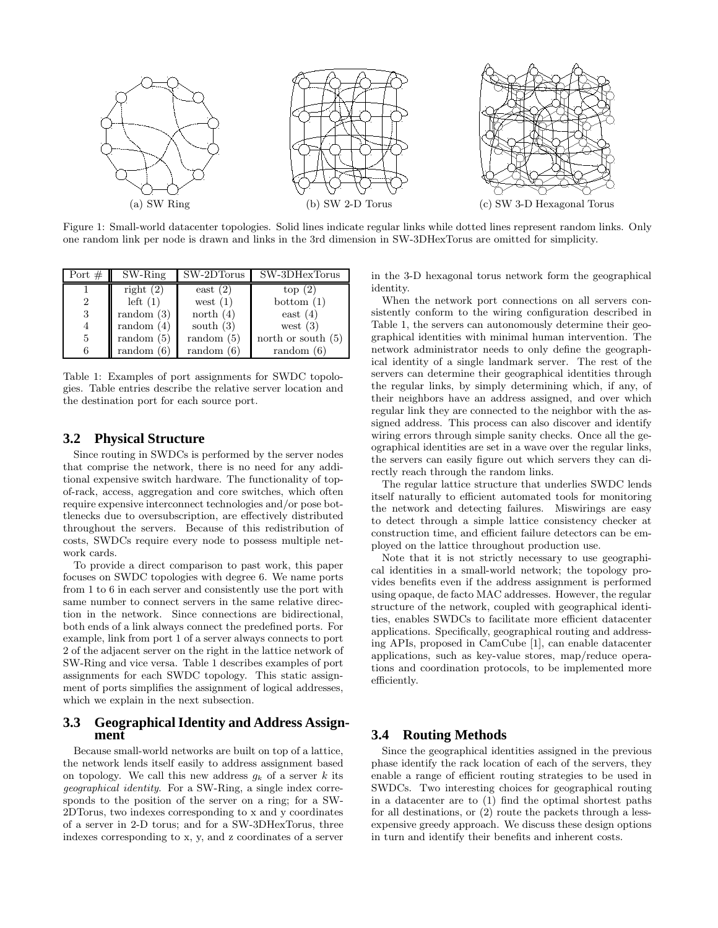

Figure 1: Small-world datacenter topologies. Solid lines indicate regular links while dotted lines represent random links. Only one random link per node is drawn and links in the 3rd dimension in SW-3DHexTorus are omitted for simplicity.

| Port $#$       | $SW-Ring$    | SW-2DTorus  | SW-3DHexTorus        |
|----------------|--------------|-------------|----------------------|
|                | right(2)     | east $(2)$  | top(2)               |
| 2              | left $(1)$   | west $(1)$  | bottom $(1)$         |
| 3              | random(3)    | north $(4)$ | east $(4)$           |
| $\overline{4}$ | random $(4)$ | south $(3)$ | west $(3)$           |
| 5              | random(5)    | random(5)   | north or south $(5)$ |
| 6              | random $(6)$ | random(6)   | random(6)            |

Table 1: Examples of port assignments for SWDC topologies. Table entries describe the relative server location and the destination port for each source port.

## **3.2 Physical Structure**

Since routing in SWDCs is performed by the server nodes that comprise the network, there is no need for any additional expensive switch hardware. The functionality of topof-rack, access, aggregation and core switches, which often require expensive interconnect technologies and/or pose bottlenecks due to oversubscription, are effectively distributed throughout the servers. Because of this redistribution of costs, SWDCs require every node to possess multiple network cards.

To provide a direct comparison to past work, this paper focuses on SWDC topologies with degree 6. We name ports from 1 to 6 in each server and consistently use the port with same number to connect servers in the same relative direction in the network. Since connections are bidirectional, both ends of a link always connect the predefined ports. For example, link from port 1 of a server always connects to port 2 of the adjacent server on the right in the lattice network of SW-Ring and vice versa. Table 1 describes examples of port assignments for each SWDC topology. This static assignment of ports simplifies the assignment of logical addresses, which we explain in the next subsection.

## **3.3 Geographical Identity and Address Assignment**

Because small-world networks are built on top of a lattice, the network lends itself easily to address assignment based on topology. We call this new address  $g_k$  of a server k its geographical identity. For a SW-Ring, a single index corresponds to the position of the server on a ring; for a SW-2DTorus, two indexes corresponding to x and y coordinates of a server in 2-D torus; and for a SW-3DHexTorus, three indexes corresponding to x, y, and z coordinates of a server

in the 3-D hexagonal torus network form the geographical identity.

When the network port connections on all servers consistently conform to the wiring configuration described in Table 1, the servers can autonomously determine their geographical identities with minimal human intervention. The network administrator needs to only define the geographical identity of a single landmark server. The rest of the servers can determine their geographical identities through the regular links, by simply determining which, if any, of their neighbors have an address assigned, and over which regular link they are connected to the neighbor with the assigned address. This process can also discover and identify wiring errors through simple sanity checks. Once all the geographical identities are set in a wave over the regular links, the servers can easily figure out which servers they can directly reach through the random links.

The regular lattice structure that underlies SWDC lends itself naturally to efficient automated tools for monitoring the network and detecting failures. Miswirings are easy to detect through a simple lattice consistency checker at construction time, and efficient failure detectors can be employed on the lattice throughout production use.

Note that it is not strictly necessary to use geographical identities in a small-world network; the topology provides benefits even if the address assignment is performed using opaque, de facto MAC addresses. However, the regular structure of the network, coupled with geographical identities, enables SWDCs to facilitate more efficient datacenter applications. Specifically, geographical routing and addressing APIs, proposed in CamCube [1], can enable datacenter applications, such as key-value stores, map/reduce operations and coordination protocols, to be implemented more efficiently.

## **3.4 Routing Methods**

Since the geographical identities assigned in the previous phase identify the rack location of each of the servers, they enable a range of efficient routing strategies to be used in SWDCs. Two interesting choices for geographical routing in a datacenter are to (1) find the optimal shortest paths for all destinations, or (2) route the packets through a lessexpensive greedy approach. We discuss these design options in turn and identify their benefits and inherent costs.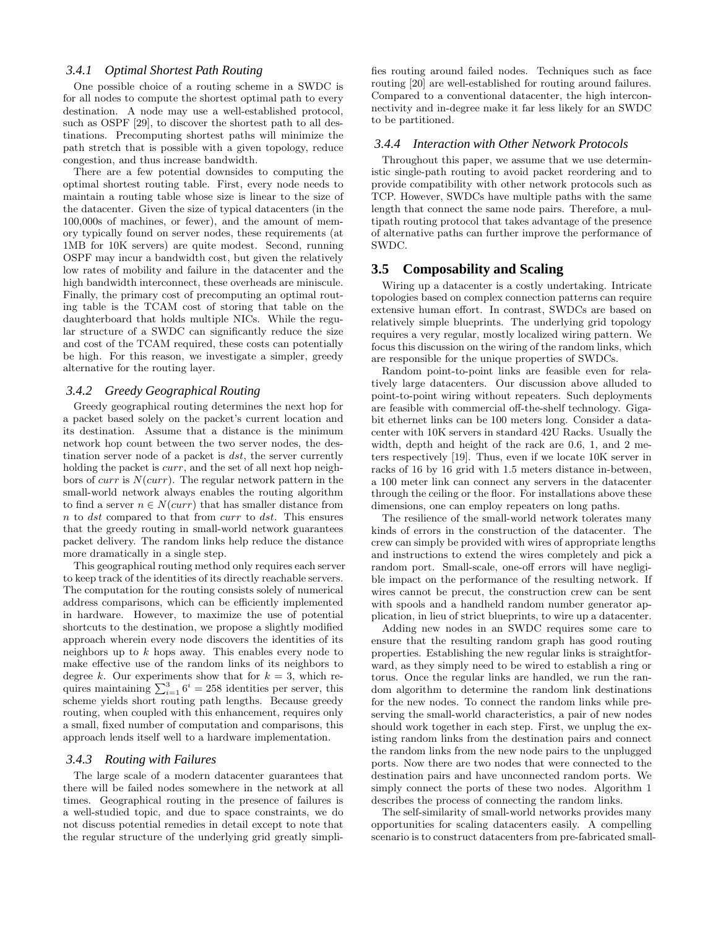#### *3.4.1 Optimal Shortest Path Routing*

One possible choice of a routing scheme in a SWDC is for all nodes to compute the shortest optimal path to every destination. A node may use a well-established protocol, such as OSPF [29], to discover the shortest path to all destinations. Precomputing shortest paths will minimize the path stretch that is possible with a given topology, reduce congestion, and thus increase bandwidth.

There are a few potential downsides to computing the optimal shortest routing table. First, every node needs to maintain a routing table whose size is linear to the size of the datacenter. Given the size of typical datacenters (in the 100,000s of machines, or fewer), and the amount of memory typically found on server nodes, these requirements (at 1MB for 10K servers) are quite modest. Second, running OSPF may incur a bandwidth cost, but given the relatively low rates of mobility and failure in the datacenter and the high bandwidth interconnect, these overheads are miniscule. Finally, the primary cost of precomputing an optimal routing table is the TCAM cost of storing that table on the daughterboard that holds multiple NICs. While the regular structure of a SWDC can significantly reduce the size and cost of the TCAM required, these costs can potentially be high. For this reason, we investigate a simpler, greedy alternative for the routing layer.

#### *3.4.2 Greedy Geographical Routing*

Greedy geographical routing determines the next hop for a packet based solely on the packet's current location and its destination. Assume that a distance is the minimum network hop count between the two server nodes, the destination server node of a packet is  $dst$ , the server currently holding the packet is *curr*, and the set of all next hop neighbors of *curr* is  $N(curr)$ . The regular network pattern in the small-world network always enables the routing algorithm to find a server  $n \in N(curr)$  that has smaller distance from n to dst compared to that from curr to dst. This ensures that the greedy routing in small-world network guarantees packet delivery. The random links help reduce the distance more dramatically in a single step.

This geographical routing method only requires each server to keep track of the identities of its directly reachable servers. The computation for the routing consists solely of numerical address comparisons, which can be efficiently implemented in hardware. However, to maximize the use of potential shortcuts to the destination, we propose a slightly modified approach wherein every node discovers the identities of its neighbors up to  $k$  hops away. This enables every node to make effective use of the random links of its neighbors to degree k. Our experiments show that for  $k = 3$ , which requires maintaining  $\sum_{i=1}^{3} 6^{i} = 258$  identities per server, this scheme yields short routing path lengths. Because greedy routing, when coupled with this enhancement, requires only a small, fixed number of computation and comparisons, this approach lends itself well to a hardware implementation.

#### *3.4.3 Routing with Failures*

The large scale of a modern datacenter guarantees that there will be failed nodes somewhere in the network at all times. Geographical routing in the presence of failures is a well-studied topic, and due to space constraints, we do not discuss potential remedies in detail except to note that the regular structure of the underlying grid greatly simplifies routing around failed nodes. Techniques such as face routing [20] are well-established for routing around failures. Compared to a conventional datacenter, the high interconnectivity and in-degree make it far less likely for an SWDC to be partitioned.

#### *3.4.4 Interaction with Other Network Protocols*

Throughout this paper, we assume that we use deterministic single-path routing to avoid packet reordering and to provide compatibility with other network protocols such as TCP. However, SWDCs have multiple paths with the same length that connect the same node pairs. Therefore, a multipath routing protocol that takes advantage of the presence of alternative paths can further improve the performance of SWDC.

### **3.5 Composability and Scaling**

Wiring up a datacenter is a costly undertaking. Intricate topologies based on complex connection patterns can require extensive human effort. In contrast, SWDCs are based on relatively simple blueprints. The underlying grid topology requires a very regular, mostly localized wiring pattern. We focus this discussion on the wiring of the random links, which are responsible for the unique properties of SWDCs.

Random point-to-point links are feasible even for relatively large datacenters. Our discussion above alluded to point-to-point wiring without repeaters. Such deployments are feasible with commercial off-the-shelf technology. Gigabit ethernet links can be 100 meters long. Consider a datacenter with 10K servers in standard 42U Racks. Usually the width, depth and height of the rack are 0.6, 1, and 2 meters respectively [19]. Thus, even if we locate 10K server in racks of 16 by 16 grid with 1.5 meters distance in-between, a 100 meter link can connect any servers in the datacenter through the ceiling or the floor. For installations above these dimensions, one can employ repeaters on long paths.

The resilience of the small-world network tolerates many kinds of errors in the construction of the datacenter. The crew can simply be provided with wires of appropriate lengths and instructions to extend the wires completely and pick a random port. Small-scale, one-off errors will have negligible impact on the performance of the resulting network. If wires cannot be precut, the construction crew can be sent with spools and a handheld random number generator application, in lieu of strict blueprints, to wire up a datacenter.

Adding new nodes in an SWDC requires some care to ensure that the resulting random graph has good routing properties. Establishing the new regular links is straightforward, as they simply need to be wired to establish a ring or torus. Once the regular links are handled, we run the random algorithm to determine the random link destinations for the new nodes. To connect the random links while preserving the small-world characteristics, a pair of new nodes should work together in each step. First, we unplug the existing random links from the destination pairs and connect the random links from the new node pairs to the unplugged ports. Now there are two nodes that were connected to the destination pairs and have unconnected random ports. We simply connect the ports of these two nodes. Algorithm 1 describes the process of connecting the random links.

The self-similarity of small-world networks provides many opportunities for scaling datacenters easily. A compelling scenario is to construct datacenters from pre-fabricated small-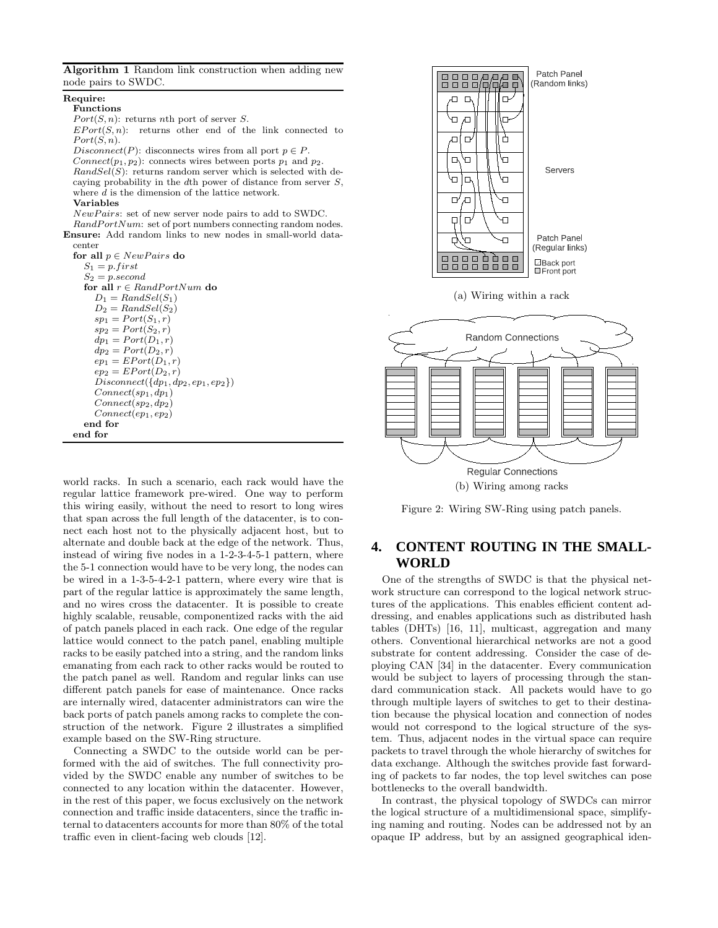Algorithm 1 Random link construction when adding new node pairs to SWDC.

#### Require: Functions

 $Port(S, n)$ : returns nth port of server S.

 $EPort(S, n)$ : returns other end of the link connected to  $Port(S, n)$ .

Disconnect(P): disconnects wires from all port  $p \in P$ . Connect $(p_1, p_2)$ : connects wires between ports  $p_1$  and  $p_2$ .  $RandSel(S)$ : returns random server which is selected with decaying probability in the dth power of distance from server S, where  $\overrightarrow{d}$  is the dimension of the lattice network.

#### Variables

NewP airs: set of new server node pairs to add to SWDC.  $RandPortNum: set of port numbers connecting random nodes.$ Ensure: Add random links to new nodes in small-world datacenter

world racks. In such a scenario, each rack would have the regular lattice framework pre-wired. One way to perform this wiring easily, without the need to resort to long wires that span across the full length of the datacenter, is to connect each host not to the physically adjacent host, but to alternate and double back at the edge of the network. Thus, instead of wiring five nodes in a 1-2-3-4-5-1 pattern, where the 5-1 connection would have to be very long, the nodes can be wired in a 1-3-5-4-2-1 pattern, where every wire that is part of the regular lattice is approximately the same length, and no wires cross the datacenter. It is possible to create highly scalable, reusable, componentized racks with the aid of patch panels placed in each rack. One edge of the regular lattice would connect to the patch panel, enabling multiple racks to be easily patched into a string, and the random links emanating from each rack to other racks would be routed to the patch panel as well. Random and regular links can use different patch panels for ease of maintenance. Once racks are internally wired, datacenter administrators can wire the back ports of patch panels among racks to complete the construction of the network. Figure 2 illustrates a simplified example based on the SW-Ring structure.

Connecting a SWDC to the outside world can be performed with the aid of switches. The full connectivity provided by the SWDC enable any number of switches to be connected to any location within the datacenter. However, in the rest of this paper, we focus exclusively on the network connection and traffic inside datacenters, since the traffic internal to datacenters accounts for more than 80% of the total traffic even in client-facing web clouds [12].



(a) Wiring within a rack



Figure 2: Wiring SW-Ring using patch panels.

## **4. CONTENT ROUTING IN THE SMALL-WORLD**

One of the strengths of SWDC is that the physical network structure can correspond to the logical network structures of the applications. This enables efficient content addressing, and enables applications such as distributed hash tables (DHTs) [16, 11], multicast, aggregation and many others. Conventional hierarchical networks are not a good substrate for content addressing. Consider the case of deploying CAN [34] in the datacenter. Every communication would be subject to layers of processing through the standard communication stack. All packets would have to go through multiple layers of switches to get to their destination because the physical location and connection of nodes would not correspond to the logical structure of the system. Thus, adjacent nodes in the virtual space can require packets to travel through the whole hierarchy of switches for data exchange. Although the switches provide fast forwarding of packets to far nodes, the top level switches can pose bottlenecks to the overall bandwidth.

In contrast, the physical topology of SWDCs can mirror the logical structure of a multidimensional space, simplifying naming and routing. Nodes can be addressed not by an opaque IP address, but by an assigned geographical iden-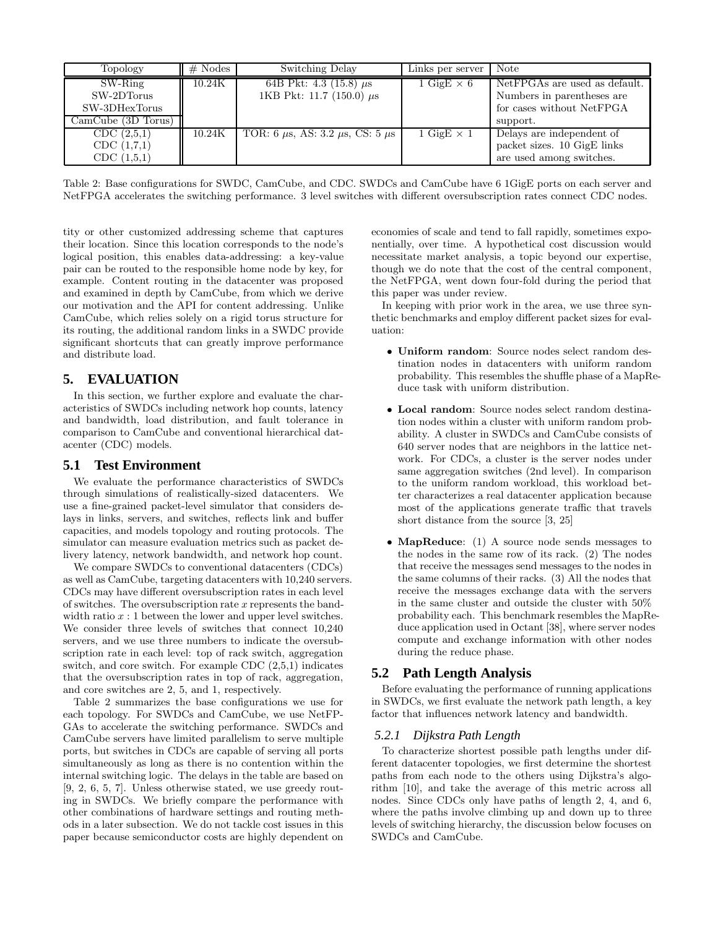| Topology           | $\#$ Nodes | Switching Delay                                | Links per server  | Note                          |
|--------------------|------------|------------------------------------------------|-------------------|-------------------------------|
| $SW-Ring$          | 10.24K     | 64B Pkt: 4.3 (15.8) $\mu$ s                    | 1 GigE $\times$ 6 | NetFPGAs are used as default. |
| SW-2DTorus         |            | 1KB Pkt: 11.7 (150.0) $\mu$ s                  |                   | Numbers in parentheses are    |
| SW-3DHexTorus      |            |                                                |                   | for cases without NetFPGA     |
| CamCube (3D Torus) |            |                                                |                   | support.                      |
| CDC (2,5,1)        | 10.24K     | TOR: 6 $\mu$ s, AS: 3.2 $\mu$ s, CS: 5 $\mu$ s | 1 GigE $\times$ 1 | Delays are independent of     |
| CDC (1,7,1)        |            |                                                |                   | packet sizes. 10 GigE links   |
| CDC (1,5,1)        |            |                                                |                   | are used among switches.      |

Table 2: Base configurations for SWDC, CamCube, and CDC. SWDCs and CamCube have 6 1GigE ports on each server and NetFPGA accelerates the switching performance. 3 level switches with different oversubscription rates connect CDC nodes.

tity or other customized addressing scheme that captures their location. Since this location corresponds to the node's logical position, this enables data-addressing: a key-value pair can be routed to the responsible home node by key, for example. Content routing in the datacenter was proposed and examined in depth by CamCube, from which we derive our motivation and the API for content addressing. Unlike CamCube, which relies solely on a rigid torus structure for its routing, the additional random links in a SWDC provide significant shortcuts that can greatly improve performance and distribute load.

## **5. EVALUATION**

In this section, we further explore and evaluate the characteristics of SWDCs including network hop counts, latency and bandwidth, load distribution, and fault tolerance in comparison to CamCube and conventional hierarchical datacenter (CDC) models.

## **5.1 Test Environment**

We evaluate the performance characteristics of SWDCs through simulations of realistically-sized datacenters. We use a fine-grained packet-level simulator that considers delays in links, servers, and switches, reflects link and buffer capacities, and models topology and routing protocols. The simulator can measure evaluation metrics such as packet delivery latency, network bandwidth, and network hop count.

We compare SWDCs to conventional datacenters (CDCs) as well as CamCube, targeting datacenters with 10,240 servers. CDCs may have different oversubscription rates in each level of switches. The oversubscription rate  $x$  represents the bandwidth ratio  $x:1$  between the lower and upper level switches. We consider three levels of switches that connect 10,240 servers, and we use three numbers to indicate the oversubscription rate in each level: top of rack switch, aggregation switch, and core switch. For example CDC (2,5,1) indicates that the oversubscription rates in top of rack, aggregation, and core switches are 2, 5, and 1, respectively.

Table 2 summarizes the base configurations we use for each topology. For SWDCs and CamCube, we use NetFP-GAs to accelerate the switching performance. SWDCs and CamCube servers have limited parallelism to serve multiple ports, but switches in CDCs are capable of serving all ports simultaneously as long as there is no contention within the internal switching logic. The delays in the table are based on [9, 2, 6, 5, 7]. Unless otherwise stated, we use greedy routing in SWDCs. We briefly compare the performance with other combinations of hardware settings and routing methods in a later subsection. We do not tackle cost issues in this paper because semiconductor costs are highly dependent on

economies of scale and tend to fall rapidly, sometimes exponentially, over time. A hypothetical cost discussion would necessitate market analysis, a topic beyond our expertise, though we do note that the cost of the central component, the NetFPGA, went down four-fold during the period that this paper was under review.

In keeping with prior work in the area, we use three synthetic benchmarks and employ different packet sizes for evaluation:

- Uniform random: Source nodes select random destination nodes in datacenters with uniform random probability. This resembles the shuffle phase of a MapReduce task with uniform distribution.
- Local random: Source nodes select random destination nodes within a cluster with uniform random probability. A cluster in SWDCs and CamCube consists of 640 server nodes that are neighbors in the lattice network. For CDCs, a cluster is the server nodes under same aggregation switches (2nd level). In comparison to the uniform random workload, this workload better characterizes a real datacenter application because most of the applications generate traffic that travels short distance from the source [3, 25]
- MapReduce: (1) A source node sends messages to the nodes in the same row of its rack. (2) The nodes that receive the messages send messages to the nodes in the same columns of their racks. (3) All the nodes that receive the messages exchange data with the servers in the same cluster and outside the cluster with 50% probability each. This benchmark resembles the MapReduce application used in Octant [38], where server nodes compute and exchange information with other nodes during the reduce phase.

## **5.2 Path Length Analysis**

Before evaluating the performance of running applications in SWDCs, we first evaluate the network path length, a key factor that influences network latency and bandwidth.

## *5.2.1 Dijkstra Path Length*

To characterize shortest possible path lengths under different datacenter topologies, we first determine the shortest paths from each node to the others using Dijkstra's algorithm [10], and take the average of this metric across all nodes. Since CDCs only have paths of length 2, 4, and 6, where the paths involve climbing up and down up to three levels of switching hierarchy, the discussion below focuses on SWDCs and CamCube.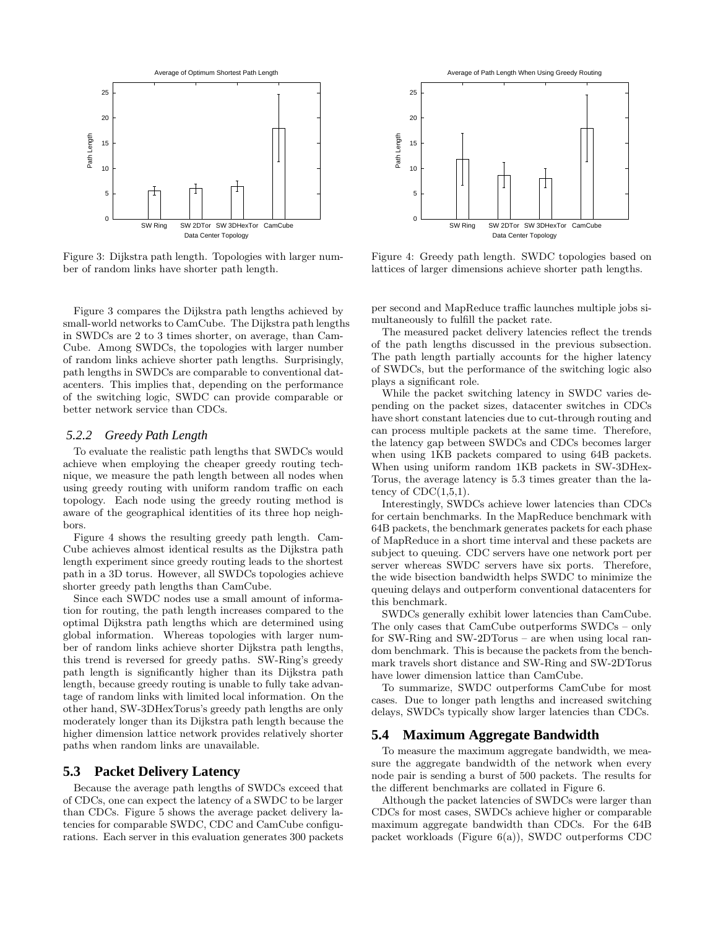

Figure 3: Dijkstra path length. Topologies with larger number of random links have shorter path length.

Figure 3 compares the Dijkstra path lengths achieved by small-world networks to CamCube. The Dijkstra path lengths in SWDCs are 2 to 3 times shorter, on average, than Cam-Cube. Among SWDCs, the topologies with larger number of random links achieve shorter path lengths. Surprisingly, path lengths in SWDCs are comparable to conventional datacenters. This implies that, depending on the performance of the switching logic, SWDC can provide comparable or better network service than CDCs.

#### *5.2.2 Greedy Path Length*

To evaluate the realistic path lengths that SWDCs would achieve when employing the cheaper greedy routing technique, we measure the path length between all nodes when using greedy routing with uniform random traffic on each topology. Each node using the greedy routing method is aware of the geographical identities of its three hop neighbors.

Figure 4 shows the resulting greedy path length. Cam-Cube achieves almost identical results as the Dijkstra path length experiment since greedy routing leads to the shortest path in a 3D torus. However, all SWDCs topologies achieve shorter greedy path lengths than CamCube.

Since each SWDC nodes use a small amount of information for routing, the path length increases compared to the optimal Dijkstra path lengths which are determined using global information. Whereas topologies with larger number of random links achieve shorter Dijkstra path lengths, this trend is reversed for greedy paths. SW-Ring's greedy path length is significantly higher than its Dijkstra path length, because greedy routing is unable to fully take advantage of random links with limited local information. On the other hand, SW-3DHexTorus's greedy path lengths are only moderately longer than its Dijkstra path length because the higher dimension lattice network provides relatively shorter paths when random links are unavailable.

## **5.3 Packet Delivery Latency**

Because the average path lengths of SWDCs exceed that of CDCs, one can expect the latency of a SWDC to be larger than CDCs. Figure 5 shows the average packet delivery latencies for comparable SWDC, CDC and CamCube configurations. Each server in this evaluation generates 300 packets



Figure 4: Greedy path length. SWDC topologies based on lattices of larger dimensions achieve shorter path lengths.

per second and MapReduce traffic launches multiple jobs simultaneously to fulfill the packet rate.

The measured packet delivery latencies reflect the trends of the path lengths discussed in the previous subsection. The path length partially accounts for the higher latency of SWDCs, but the performance of the switching logic also plays a significant role.

While the packet switching latency in SWDC varies depending on the packet sizes, datacenter switches in CDCs have short constant latencies due to cut-through routing and can process multiple packets at the same time. Therefore, the latency gap between SWDCs and CDCs becomes larger when using 1KB packets compared to using 64B packets. When using uniform random 1KB packets in SW-3DHex-Torus, the average latency is 5.3 times greater than the latency of  $CDC(1,5,1)$ .

Interestingly, SWDCs achieve lower latencies than CDCs for certain benchmarks. In the MapReduce benchmark with 64B packets, the benchmark generates packets for each phase of MapReduce in a short time interval and these packets are subject to queuing. CDC servers have one network port per server whereas SWDC servers have six ports. Therefore, the wide bisection bandwidth helps SWDC to minimize the queuing delays and outperform conventional datacenters for this benchmark.

SWDCs generally exhibit lower latencies than CamCube. The only cases that CamCube outperforms SWDCs – only for SW-Ring and SW-2DTorus – are when using local random benchmark. This is because the packets from the benchmark travels short distance and SW-Ring and SW-2DTorus have lower dimension lattice than CamCube.

To summarize, SWDC outperforms CamCube for most cases. Due to longer path lengths and increased switching delays, SWDCs typically show larger latencies than CDCs.

## **5.4 Maximum Aggregate Bandwidth**

To measure the maximum aggregate bandwidth, we measure the aggregate bandwidth of the network when every node pair is sending a burst of 500 packets. The results for the different benchmarks are collated in Figure 6.

Although the packet latencies of SWDCs were larger than CDCs for most cases, SWDCs achieve higher or comparable maximum aggregate bandwidth than CDCs. For the 64B packet workloads (Figure 6(a)), SWDC outperforms CDC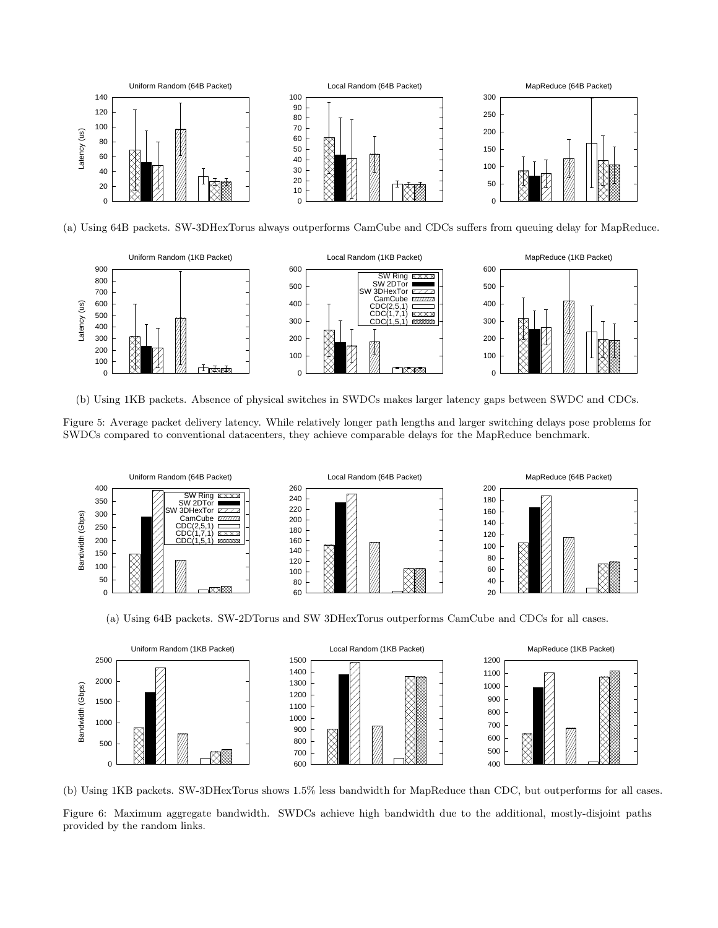

(a) Using 64B packets. SW-3DHexTorus always outperforms CamCube and CDCs suffers from queuing delay for MapReduce.



(b) Using 1KB packets. Absence of physical switches in SWDCs makes larger latency gaps between SWDC and CDCs.

Figure 5: Average packet delivery latency. While relatively longer path lengths and larger switching delays pose problems for SWDCs compared to conventional datacenters, they achieve comparable delays for the MapReduce benchmark.





(b) Using 1KB packets. SW-3DHexTorus shows 1.5% less bandwidth for MapReduce than CDC, but outperforms for all cases. Figure 6: Maximum aggregate bandwidth. SWDCs achieve high bandwidth due to the additional, mostly-disjoint paths provided by the random links.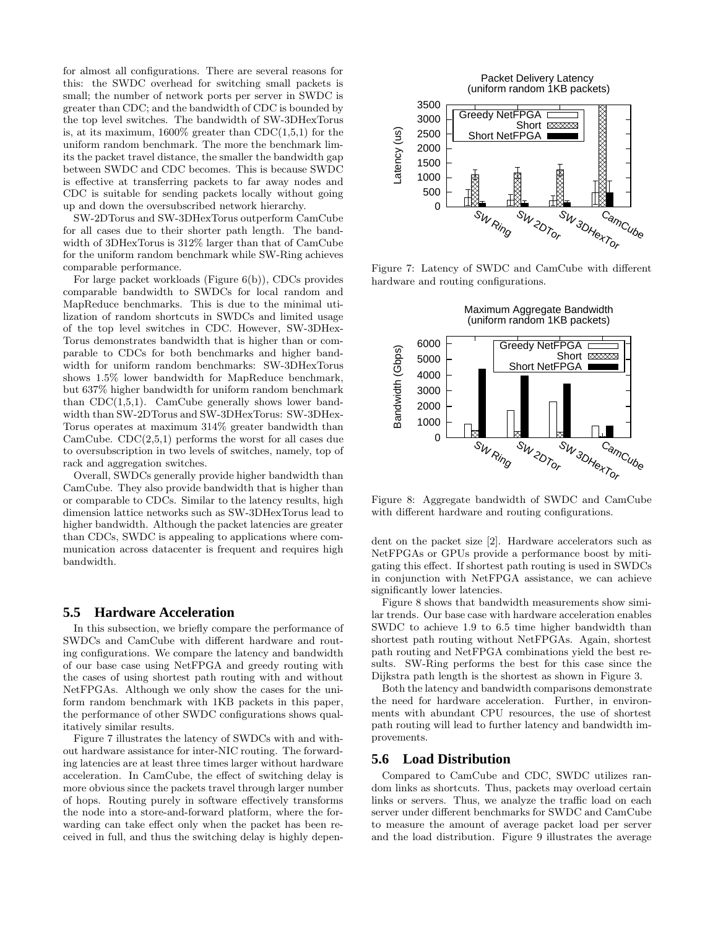for almost all configurations. There are several reasons for this: the SWDC overhead for switching small packets is small; the number of network ports per server in SWDC is greater than CDC; and the bandwidth of CDC is bounded by the top level switches. The bandwidth of SW-3DHexTorus is, at its maximum,  $1600\%$  greater than CDC $(1,5,1)$  for the uniform random benchmark. The more the benchmark limits the packet travel distance, the smaller the bandwidth gap between SWDC and CDC becomes. This is because SWDC is effective at transferring packets to far away nodes and CDC is suitable for sending packets locally without going up and down the oversubscribed network hierarchy.

SW-2DTorus and SW-3DHexTorus outperform CamCube for all cases due to their shorter path length. The bandwidth of 3DHexTorus is 312% larger than that of CamCube for the uniform random benchmark while SW-Ring achieves comparable performance.

For large packet workloads (Figure 6(b)), CDCs provides comparable bandwidth to SWDCs for local random and MapReduce benchmarks. This is due to the minimal utilization of random shortcuts in SWDCs and limited usage of the top level switches in CDC. However, SW-3DHex-Torus demonstrates bandwidth that is higher than or comparable to CDCs for both benchmarks and higher bandwidth for uniform random benchmarks: SW-3DHexTorus shows 1.5% lower bandwidth for MapReduce benchmark, but 637% higher bandwidth for uniform random benchmark than  $CDC(1,5,1)$ . CamCube generally shows lower bandwidth than SW-2DTorus and SW-3DHexTorus: SW-3DHex-Torus operates at maximum 314% greater bandwidth than CamCube.  $CDC(2,5,1)$  performs the worst for all cases due to oversubscription in two levels of switches, namely, top of rack and aggregation switches.

Overall, SWDCs generally provide higher bandwidth than CamCube. They also provide bandwidth that is higher than or comparable to CDCs. Similar to the latency results, high dimension lattice networks such as SW-3DHexTorus lead to higher bandwidth. Although the packet latencies are greater than CDCs, SWDC is appealing to applications where communication across datacenter is frequent and requires high bandwidth.

## **5.5 Hardware Acceleration**

In this subsection, we briefly compare the performance of SWDCs and CamCube with different hardware and routing configurations. We compare the latency and bandwidth of our base case using NetFPGA and greedy routing with the cases of using shortest path routing with and without NetFPGAs. Although we only show the cases for the uniform random benchmark with 1KB packets in this paper, the performance of other SWDC configurations shows qualitatively similar results.

Figure 7 illustrates the latency of SWDCs with and without hardware assistance for inter-NIC routing. The forwarding latencies are at least three times larger without hardware acceleration. In CamCube, the effect of switching delay is more obvious since the packets travel through larger number of hops. Routing purely in software effectively transforms the node into a store-and-forward platform, where the forwarding can take effect only when the packet has been received in full, and thus the switching delay is highly depen-



Figure 7: Latency of SWDC and CamCube with different hardware and routing configurations.



Figure 8: Aggregate bandwidth of SWDC and CamCube with different hardware and routing configurations.

dent on the packet size [2]. Hardware accelerators such as NetFPGAs or GPUs provide a performance boost by mitigating this effect. If shortest path routing is used in SWDCs in conjunction with NetFPGA assistance, we can achieve significantly lower latencies.

Figure 8 shows that bandwidth measurements show similar trends. Our base case with hardware acceleration enables SWDC to achieve 1.9 to 6.5 time higher bandwidth than shortest path routing without NetFPGAs. Again, shortest path routing and NetFPGA combinations yield the best results. SW-Ring performs the best for this case since the Dijkstra path length is the shortest as shown in Figure 3.

Both the latency and bandwidth comparisons demonstrate the need for hardware acceleration. Further, in environments with abundant CPU resources, the use of shortest path routing will lead to further latency and bandwidth improvements.

## **5.6 Load Distribution**

Compared to CamCube and CDC, SWDC utilizes random links as shortcuts. Thus, packets may overload certain links or servers. Thus, we analyze the traffic load on each server under different benchmarks for SWDC and CamCube to measure the amount of average packet load per server and the load distribution. Figure 9 illustrates the average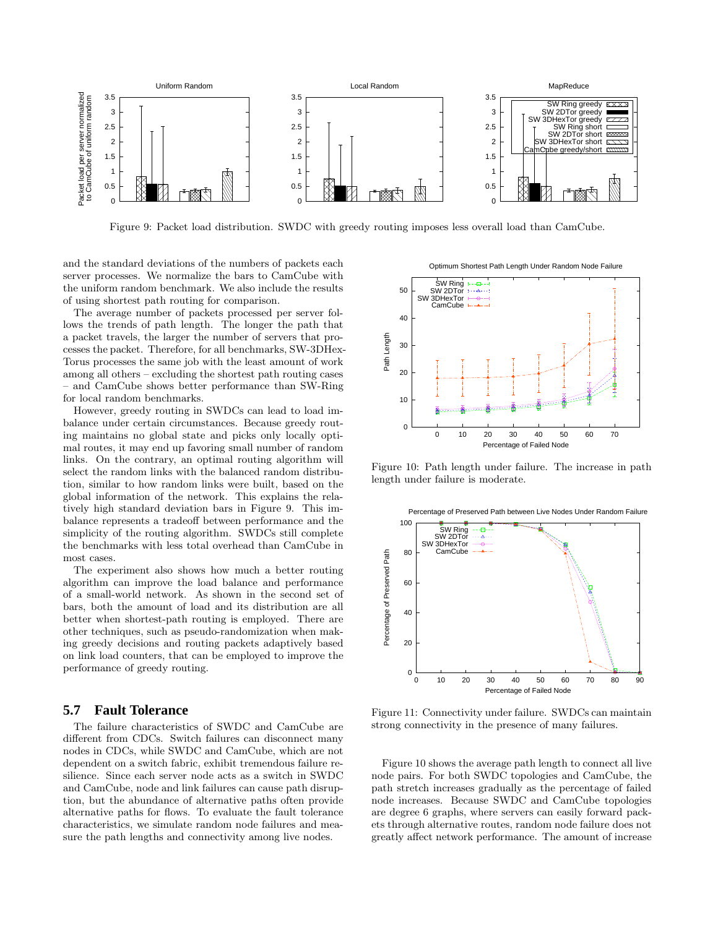

Figure 9: Packet load distribution. SWDC with greedy routing imposes less overall load than CamCube.

and the standard deviations of the numbers of packets each server processes. We normalize the bars to CamCube with the uniform random benchmark. We also include the results of using shortest path routing for comparison.

The average number of packets processed per server follows the trends of path length. The longer the path that a packet travels, the larger the number of servers that processes the packet. Therefore, for all benchmarks, SW-3DHex-Torus processes the same job with the least amount of work among all others – excluding the shortest path routing cases – and CamCube shows better performance than SW-Ring for local random benchmarks.

However, greedy routing in SWDCs can lead to load imbalance under certain circumstances. Because greedy routing maintains no global state and picks only locally optimal routes, it may end up favoring small number of random links. On the contrary, an optimal routing algorithm will select the random links with the balanced random distribution, similar to how random links were built, based on the global information of the network. This explains the relatively high standard deviation bars in Figure 9. This imbalance represents a tradeoff between performance and the simplicity of the routing algorithm. SWDCs still complete the benchmarks with less total overhead than CamCube in most cases.

The experiment also shows how much a better routing algorithm can improve the load balance and performance of a small-world network. As shown in the second set of bars, both the amount of load and its distribution are all better when shortest-path routing is employed. There are other techniques, such as pseudo-randomization when making greedy decisions and routing packets adaptively based on link load counters, that can be employed to improve the performance of greedy routing.

## **5.7 Fault Tolerance**

The failure characteristics of SWDC and CamCube are different from CDCs. Switch failures can disconnect many nodes in CDCs, while SWDC and CamCube, which are not dependent on a switch fabric, exhibit tremendous failure resilience. Since each server node acts as a switch in SWDC and CamCube, node and link failures can cause path disruption, but the abundance of alternative paths often provide alternative paths for flows. To evaluate the fault tolerance characteristics, we simulate random node failures and measure the path lengths and connectivity among live nodes.

SW Ring SW 2DTor 50  $\bar{\xi} \leftrightarrow \Delta$ SW 3DHexTor CamCube 40 Path Length 30  $20$  10  $\overline{0}$ 0 10 20 30 40 50 60 70 Percentage of Failed Node

Optimum Shortest Path Length Under Random Node Failure

Figure 10: Path length under failure. The increase in path length under failure is moderate.



Figure 11: Connectivity under failure. SWDCs can maintain strong connectivity in the presence of many failures.

Figure 10 shows the average path length to connect all live node pairs. For both SWDC topologies and CamCube, the path stretch increases gradually as the percentage of failed node increases. Because SWDC and CamCube topologies are degree 6 graphs, where servers can easily forward packets through alternative routes, random node failure does not greatly affect network performance. The amount of increase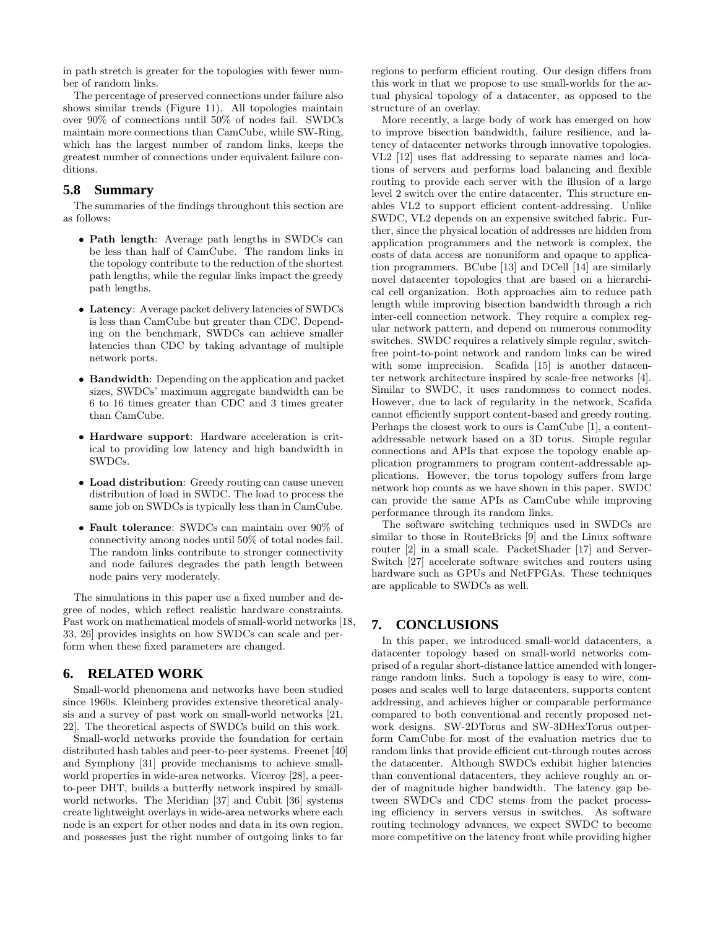in path stretch is greater for the topologies with fewer number of random links.

The percentage of preserved connections under failure also shows similar trends (Figure 11). All topologies maintain over 90% of connections until 50% of nodes fail. SWDCs maintain more connections than CamCube, while SW-Ring, which has the largest number of random links, keeps the greatest number of connections under equivalent failure conditions.

## **5.8 Summary**

The summaries of the findings throughout this section are as follows:

- Path length: Average path lengths in SWDCs can be less than half of CamCube. The random links in the topology contribute to the reduction of the shortest path lengths, while the regular links impact the greedy path lengths.
- Latency: Average packet delivery latencies of SWDCs is less than CamCube but greater than CDC. Depending on the benchmark, SWDCs can achieve smaller latencies than CDC by taking advantage of multiple network ports.
- Bandwidth: Depending on the application and packet sizes, SWDCs' maximum aggregate bandwidth can be 6 to 16 times greater than CDC and 3 times greater than CamCube.
- Hardware support: Hardware acceleration is critical to providing low latency and high bandwidth in SWDCs.
- Load distribution: Greedy routing can cause uneven distribution of load in SWDC. The load to process the same job on SWDCs is typically less than in CamCube.
- Fault tolerance: SWDCs can maintain over 90% of connectivity among nodes until 50% of total nodes fail. The random links contribute to stronger connectivity and node failures degrades the path length between node pairs very moderately.

The simulations in this paper use a fixed number and degree of nodes, which reflect realistic hardware constraints. Past work on mathematical models of small-world networks [18, 33, 26] provides insights on how SWDCs can scale and perform when these fixed parameters are changed.

## **6. RELATED WORK**

Small-world phenomena and networks have been studied since 1960s. Kleinberg provides extensive theoretical analysis and a survey of past work on small-world networks [21, 22]. The theoretical aspects of SWDCs build on this work.

Small-world networks provide the foundation for certain distributed hash tables and peer-to-peer systems. Freenet [40] and Symphony [31] provide mechanisms to achieve smallworld properties in wide-area networks. Viceroy [28], a peerto-peer DHT, builds a butterfly network inspired by smallworld networks. The Meridian [37] and Cubit [36] systems create lightweight overlays in wide-area networks where each node is an expert for other nodes and data in its own region, and possesses just the right number of outgoing links to far

regions to perform efficient routing. Our design differs from this work in that we propose to use small-worlds for the actual physical topology of a datacenter, as opposed to the structure of an overlay.

More recently, a large body of work has emerged on how to improve bisection bandwidth, failure resilience, and latency of datacenter networks through innovative topologies. VL2 [12] uses flat addressing to separate names and locations of servers and performs load balancing and flexible routing to provide each server with the illusion of a large level 2 switch over the entire datacenter. This structure enables VL2 to support efficient content-addressing. Unlike SWDC, VL2 depends on an expensive switched fabric. Further, since the physical location of addresses are hidden from application programmers and the network is complex, the costs of data access are nonuniform and opaque to application programmers. BCube [13] and DCell [14] are similarly novel datacenter topologies that are based on a hierarchical cell organization. Both approaches aim to reduce path length while improving bisection bandwidth through a rich inter-cell connection network. They require a complex regular network pattern, and depend on numerous commodity switches. SWDC requires a relatively simple regular, switchfree point-to-point network and random links can be wired with some imprecision. Scafida [15] is another datacenter network architecture inspired by scale-free networks [4]. Similar to SWDC, it uses randomness to connect nodes. However, due to lack of regularity in the network, Scafida cannot efficiently support content-based and greedy routing. Perhaps the closest work to ours is CamCube [1], a contentaddressable network based on a 3D torus. Simple regular connections and APIs that expose the topology enable application programmers to program content-addressable applications. However, the torus topology suffers from large network hop counts as we have shown in this paper. SWDC can provide the same APIs as CamCube while improving performance through its random links.

The software switching techniques used in SWDCs are similar to those in RouteBricks [9] and the Linux software router [2] in a small scale. PacketShader [17] and Server-Switch [27] accelerate software switches and routers using hardware such as GPUs and NetFPGAs. These techniques are applicable to SWDCs as well.

## **7. CONCLUSIONS**

In this paper, we introduced small-world datacenters, a datacenter topology based on small-world networks comprised of a regular short-distance lattice amended with longerrange random links. Such a topology is easy to wire, composes and scales well to large datacenters, supports content addressing, and achieves higher or comparable performance compared to both conventional and recently proposed network designs. SW-2DTorus and SW-3DHexTorus outperform CamCube for most of the evaluation metrics due to random links that provide efficient cut-through routes across the datacenter. Although SWDCs exhibit higher latencies than conventional datacenters, they achieve roughly an order of magnitude higher bandwidth. The latency gap between SWDCs and CDC stems from the packet processing efficiency in servers versus in switches. As software routing technology advances, we expect SWDC to become more competitive on the latency front while providing higher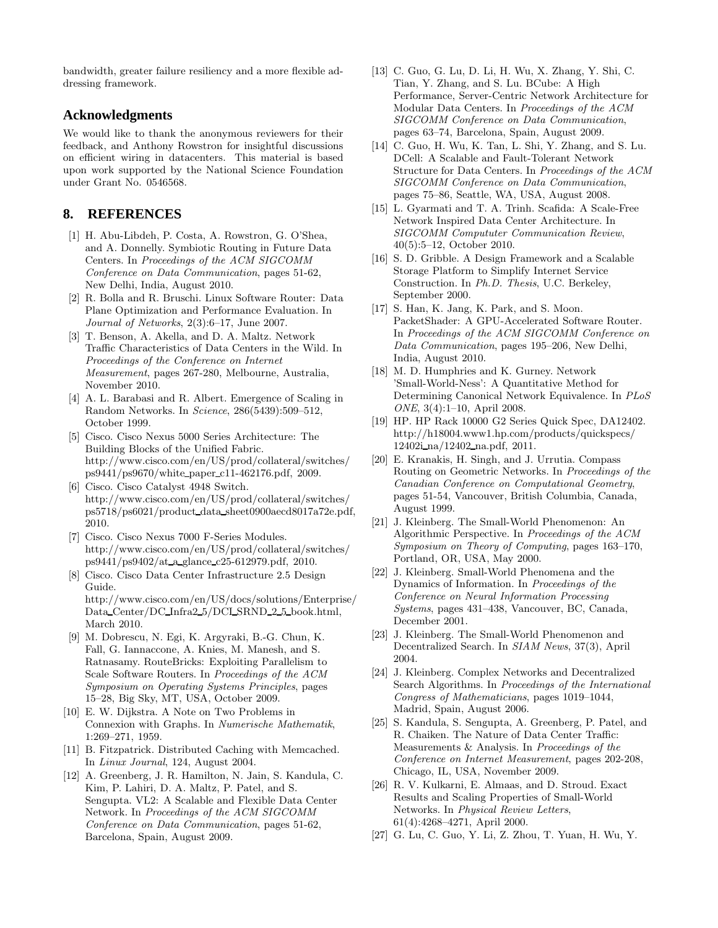bandwidth, greater failure resiliency and a more flexible addressing framework.

## **Acknowledgments**

We would like to thank the anonymous reviewers for their feedback, and Anthony Rowstron for insightful discussions on efficient wiring in datacenters. This material is based upon work supported by the National Science Foundation under Grant No. 0546568.

## **8. REFERENCES**

- [1] H. Abu-Libdeh, P. Costa, A. Rowstron, G. O'Shea, and A. Donnelly. Symbiotic Routing in Future Data Centers. In Proceedings of the ACM SIGCOMM Conference on Data Communication, pages 51-62, New Delhi, India, August 2010.
- [2] R. Bolla and R. Bruschi. Linux Software Router: Data Plane Optimization and Performance Evaluation. In Journal of Networks, 2(3):6–17, June 2007.
- [3] T. Benson, A. Akella, and D. A. Maltz. Network Traffic Characteristics of Data Centers in the Wild. In Proceedings of the Conference on Internet Measurement, pages 267-280, Melbourne, Australia, November 2010.
- [4] A. L. Barabasi and R. Albert. Emergence of Scaling in Random Networks. In Science, 286(5439):509–512, October 1999.
- [5] Cisco. Cisco Nexus 5000 Series Architecture: The Building Blocks of the Unified Fabric. http://www.cisco.com/en/US/prod/collateral/switches/ ps9441/ps9670/white paper c11-462176.pdf, 2009.
- [6] Cisco. Cisco Catalyst 4948 Switch. http://www.cisco.com/en/US/prod/collateral/switches/ ps5718/ps6021/product data sheet0900aecd8017a72e.pdf, 2010.
- [7] Cisco. Cisco Nexus 7000 F-Series Modules. http://www.cisco.com/en/US/prod/collateral/switches/ ps9441/ps9402/at a glance c25-612979.pdf, 2010.
- [8] Cisco. Cisco Data Center Infrastructure 2.5 Design Guide. http://www.cisco.com/en/US/docs/solutions/Enterprise/ Data Center/DC Infra2 5/DCI SRND 2 5 book.html, March 2010.
- [9] M. Dobrescu, N. Egi, K. Argyraki, B.-G. Chun, K. Fall, G. Iannaccone, A. Knies, M. Manesh, and S. Ratnasamy. RouteBricks: Exploiting Parallelism to Scale Software Routers. In Proceedings of the ACM Symposium on Operating Systems Principles, pages 15–28, Big Sky, MT, USA, October 2009.
- [10] E. W. Dijkstra. A Note on Two Problems in Connexion with Graphs. In Numerische Mathematik, 1:269–271, 1959.
- [11] B. Fitzpatrick. Distributed Caching with Memcached. In Linux Journal, 124, August 2004.
- [12] A. Greenberg, J. R. Hamilton, N. Jain, S. Kandula, C. Kim, P. Lahiri, D. A. Maltz, P. Patel, and S. Sengupta. VL2: A Scalable and Flexible Data Center Network. In Proceedings of the ACM SIGCOMM Conference on Data Communication, pages 51-62, Barcelona, Spain, August 2009.
- [13] C. Guo, G. Lu, D. Li, H. Wu, X. Zhang, Y. Shi, C. Tian, Y. Zhang, and S. Lu. BCube: A High Performance, Server-Centric Network Architecture for Modular Data Centers. In Proceedings of the ACM SIGCOMM Conference on Data Communication, pages 63–74, Barcelona, Spain, August 2009.
- [14] C. Guo, H. Wu, K. Tan, L. Shi, Y. Zhang, and S. Lu. DCell: A Scalable and Fault-Tolerant Network Structure for Data Centers. In Proceedings of the ACM SIGCOMM Conference on Data Communication, pages 75–86, Seattle, WA, USA, August 2008.
- [15] L. Gyarmati and T. A. Trinh. Scafida: A Scale-Free Network Inspired Data Center Architecture. In SIGCOMM Compututer Communication Review, 40(5):5–12, October 2010.
- [16] S. D. Gribble. A Design Framework and a Scalable Storage Platform to Simplify Internet Service Construction. In Ph.D. Thesis, U.C. Berkeley, September 2000.
- [17] S. Han, K. Jang, K. Park, and S. Moon. PacketShader: A GPU-Accelerated Software Router. In Proceedings of the ACM SIGCOMM Conference on Data Communication, pages 195–206, New Delhi, India, August 2010.
- [18] M. D. Humphries and K. Gurney. Network 'Small-World-Ness': A Quantitative Method for Determining Canonical Network Equivalence. In PLoS ONE, 3(4):1–10, April 2008.
- [19] HP. HP Rack 10000 G2 Series Quick Spec, DA12402. http://h18004.www1.hp.com/products/quickspecs/ 12402i na/12402 na.pdf, 2011.
- [20] E. Kranakis, H. Singh, and J. Urrutia. Compass Routing on Geometric Networks. In Proceedings of the Canadian Conference on Computational Geometry, pages 51-54, Vancouver, British Columbia, Canada, August 1999.
- [21] J. Kleinberg. The Small-World Phenomenon: An Algorithmic Perspective. In Proceedings of the ACM Symposium on Theory of Computing, pages 163–170, Portland, OR, USA, May 2000.
- [22] J. Kleinberg. Small-World Phenomena and the Dynamics of Information. In Proceedings of the Conference on Neural Information Processing Systems, pages 431–438, Vancouver, BC, Canada, December 2001.
- [23] J. Kleinberg. The Small-World Phenomenon and Decentralized Search. In SIAM News, 37(3), April 2004.
- [24] J. Kleinberg. Complex Networks and Decentralized Search Algorithms. In Proceedings of the International Congress of Mathematicians, pages 1019–1044, Madrid, Spain, August 2006.
- [25] S. Kandula, S. Sengupta, A. Greenberg, P. Patel, and R. Chaiken. The Nature of Data Center Traffic: Measurements & Analysis. In Proceedings of the Conference on Internet Measurement, pages 202-208, Chicago, IL, USA, November 2009.
- [26] R. V. Kulkarni, E. Almaas, and D. Stroud. Exact Results and Scaling Properties of Small-World Networks. In Physical Review Letters, 61(4):4268–4271, April 2000.
- [27] G. Lu, C. Guo, Y. Li, Z. Zhou, T. Yuan, H. Wu, Y.